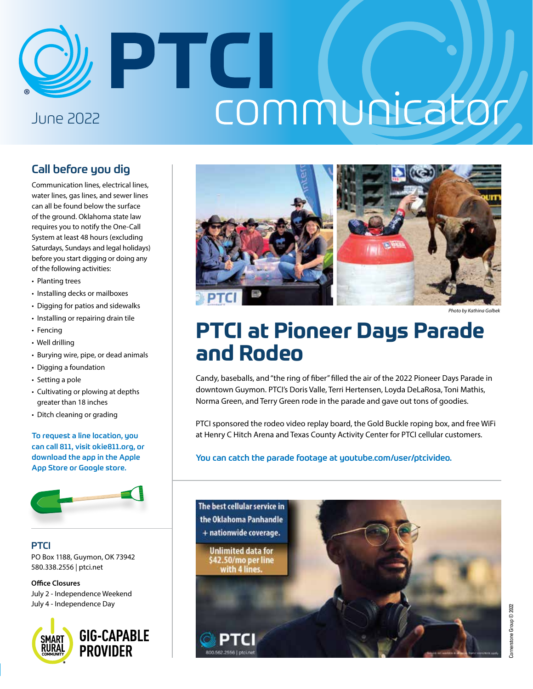# PTCI communicator June 2022

### Call before you dig

Communication lines, electrical lines, water lines, gas lines, and sewer lines can all be found below the surface of the ground. Oklahoma state law requires you to notify the One-Call System at least 48 hours (excluding Saturdays, Sundays and legal holidays) before you start digging or doing any of the following activities:

- Planting trees
- Installing decks or mailboxes
- Digging for patios and sidewalks
- Installing or repairing drain tile
- Fencing
- Well drilling
- Burying wire, pipe, or dead animals
- Digging a foundation
- Setting a pole
- Cultivating or plowing at depths greater than 18 inches
- Ditch cleaning or grading

To request a line location, you can call 811, visit okie811.org, or download the app in the Apple App Store or Google store.



#### **PTCI**

PO Box 1188, Guymon, OK 73942 580.338.2556 | ptci.net

**Office Closures** July 2 - Independence Weekend July 4 - Independence Day





*Photo by Kathina Golbek*

### **PTCI at Pioneer Days Parade and Rodeo**

Candy, baseballs, and "the ring of fiber" filled the air of the 2022 Pioneer Days Parade in downtown Guymon. PTCI's Doris Valle, Terri Hertensen, Loyda DeLaRosa, Toni Mathis, Norma Green, and Terry Green rode in the parade and gave out tons of goodies.

PTCI sponsored the rodeo video replay board, the Gold Buckle roping box, and free WiFi at Henry C Hitch Arena and Texas County Activity Center for PTCI cellular customers.

#### You can catch the parade footage at youtube.com/user/ptcivideo.

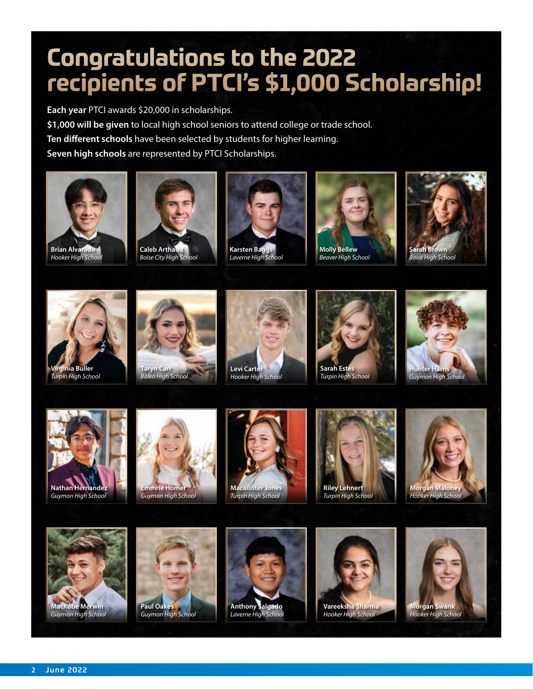# **Congratulations to the 2022 recipients of PTCI's \$1,000 Scholarship!**

**Each year** PTCI awards \$20,000 in scholarships. **\$1,000 will be given** to local high school seniors to attend college or trade school. **Ten different schools** have been selected by students for higher learning. **Seven high schools** are represented by PTCI Scholarships.



**Brian Alvarad** *Hooker High School*



*Boise City High School*



*Laverne High School*



*Beaver High School*





*Turpin High School*



*Balko High School*









**Emmrie Home** *Guymon High School*











**Paul Oak** *Guymon High School*





*Hooker High School*

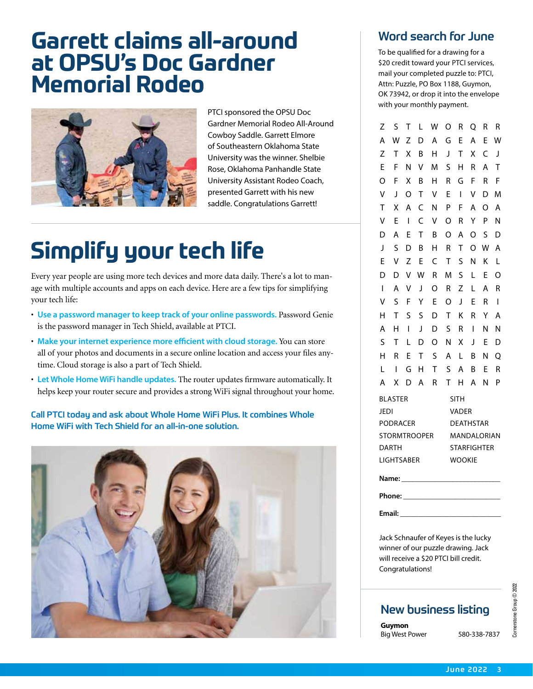### **Garrett claims all-around at OPSU's Doc Gardner Memorial Rodeo**



PTCI sponsored the OPSU Doc Gardner Memorial Rodeo All-Around Cowboy Saddle. Garrett Elmore of Southeastern Oklahoma State University was the winner. Shelbie Rose, Oklahoma Panhandle State University Assistant Rodeo Coach, presented Garrett with his new saddle. Congratulations Garrett!

# **Simplify your tech life**

Every year people are using more tech devices and more data daily. There's a lot to manage with multiple accounts and apps on each device. Here are a few tips for simplifying your tech life:

- **Use a password manager to keep track of your online passwords.** Password Genie is the password manager in Tech Shield, available at PTCI.
- **Make your internet experience more efficient with cloud storage.** You can store all of your photos and documents in a secure online location and access your files anytime. Cloud storage is also a part of Tech Shield.
- **Let Whole Home WiFi handle updates.** The router updates firmware automatically. It helps keep your router secure and provides a strong WiFi signal throughout your home.

Call PTCI today and ask about Whole Home WiFi Plus. It combines Whole Home WiFi with Tech Shield for an all-in-one solution.



### Word search for June

To be qualified for a drawing for a \$20 credit toward your PTCI services, mail your completed puzzle to: PTCI, Attn: Puzzle, PO Box 1188, Guymon, OK 73942, or drop it into the envelope with your monthly payment.

| Z                   | S | т | L | W | O                | R                  | O            | R        | R |  |
|---------------------|---|---|---|---|------------------|--------------------|--------------|----------|---|--|
| A                   | W | Z | D | Α | G                | E                  | A            | E        | W |  |
| Z                   | Т | X | B | н | J                | т                  | Χ            | C        | J |  |
| E                   | F | N | ٧ | M | S                | Н                  | R            | A        | Т |  |
| O                   | F | X | B | н | R                | G                  | F            | R        | F |  |
| V                   | J | O | т | ٧ | E                | I                  | ٧            | D        | M |  |
| T                   | X | A | C | N | P                | F                  | A            | $\Omega$ | A |  |
| ۷                   | F | I | Ċ | ٧ | O                | R                  | Υ            | P        | Ν |  |
| D                   | A | E | т | B | $\Omega$         | A                  | O            | S        | D |  |
| J                   | S | D | В | Н | R                | Т                  | O            | W        | Α |  |
| F                   | ٧ | Z | E | C | Τ                | S                  | N            | Κ        | L |  |
| D                   | D | V | W | R | M                | S                  | L            | E        | O |  |
| $\overline{1}$      | A | ٧ | J | O | R                | Z                  | L            | A        | R |  |
| ٧                   | S | F | Υ | E | O                | J                  | E            | R        | I |  |
| Н                   | Т | S | S | D | Τ                | Κ                  | R            | Υ        | A |  |
| A                   | н | I | J | D | S                | R                  | I            | Ν        | Ν |  |
| S                   | т | L | D | O | N                | χ                  | $\mathsf{l}$ | F        | D |  |
| Н                   | R | E | Т | S | A                | L                  | B            | Ν        | O |  |
| L                   | I | G | н | T | S                | A                  | B            | E        | R |  |
| А                   | х | D | A | R | Т                | Н                  | А            | Ν        | P |  |
| <b>BLASTER</b>      |   |   |   |   | <b>SITH</b>      |                    |              |          |   |  |
| <b>JEDI</b>         |   |   |   |   | <b>VADER</b>     |                    |              |          |   |  |
| <b>PODRACER</b>     |   |   |   |   | <b>DEATHSTAR</b> |                    |              |          |   |  |
| <b>STORMTROOPER</b> |   |   |   |   | MANDALORIAN      |                    |              |          |   |  |
| <b>DARTH</b>        |   |   |   |   |                  | <b>STARFIGHTER</b> |              |          |   |  |
| <b>LIGHTSABER</b>   |   |   |   |   |                  | <b>WOOKIE</b>      |              |          |   |  |
| Name:               |   |   |   |   |                  |                    |              |          |   |  |
| Phone:              |   |   |   |   |                  |                    |              |          |   |  |

**Email:** \_\_\_\_\_\_\_\_\_\_\_\_\_\_\_\_\_\_\_\_\_\_\_\_\_\_\_

Jack Schnaufer of Keyes is the lucky winner of our puzzle drawing. Jack will receive a \$20 PTCI bill credit. Congratulations!

### New business listing

**Guymon** Big West Power 580-338-7837